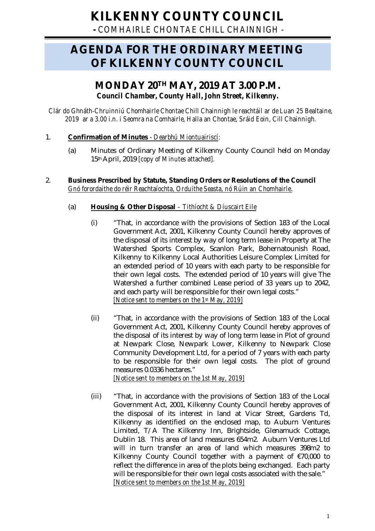**-** *COMHAIRLE CHONTAE CHILL CHAINNIGH -*

# **AGENDA FOR THE ORDINARY MEETING OF KILKENNY COUNTY COUNCIL**

## **MONDAY 20TH MAY, 2019 AT 3.00 P.M.** *Council Chamber, County Hall, John Street, Kilkenny.*

*Clár do Ghnáth-Chruinniú Chomhairle Chontae Chill Chainnigh le reachtáil ar de Luan 25 Bealtaine, 2019 ar a 3.00 i.n. i Seomra na Comhairle, Halla an Chontae, Sráid Eoin, Cill Chainnigh.*

## 1. **Confirmation of Minutes** - *Dearbhú Miontuairiscí:*

(a) Minutes of Ordinary Meeting of Kilkenny County Council held on Monday 15thApril, 2019 *[copy of Minutes attached].*

## 2. **Business Prescribed by Statute, Standing Orders or Resolutions of the Council** *Gnó forordaithe do réir Reachtaíochta, Orduithe Seasta, nó Rúin an Chomhairle*.

## (a) **Housing & Other Disposal** *– Tithíocht & Díuscairt Eile*

- (i) "That, in accordance with the provisions of Section 183 of the Local Government Act, 2001, Kilkenny County Council hereby approves of the disposal of its interest by way of long term lease in Property at The Watershed Sports Complex, Scanlon Park, Bohernatounish Road, Kilkenny to Kilkenny Local Authorities Leisure Complex Limited for an extended period of 10 years with each party to be responsible for their own legal costs. The extended period of 10 years will give The Watershed a further combined Lease period of 33 years up to 2042, and each party will be responsible for their own legal costs." *[Notice sent to members on the 1st May, 2019]*
- (ii) "That, in accordance with the provisions of Section 183 of the Local Government Act, 2001, Kilkenny County Council hereby approves of the disposal of its interest by way of long term lease in Plot of ground at Newpark Close, Newpark Lower, Kilkenny to Newpark Close Community Development Ltd, for a period of 7 years with each party to be responsible for their own legal costs. The plot of ground measures 0.0336 hectares." *[Notice sent to members on the 1st May, 2019]*
- (iii) "That, in accordance with the provisions of Section 183 of the Local Government Act, 2001, Kilkenny County Council hereby approves of the disposal of its interest in land at Vicar Street, Gardens Td, Kilkenny as identified on the enclosed map, to Auburn Ventures Limited, T/A The Kilkenny Inn, Brightside, Glenamuck Cottage, Dublin 18. This area of land measures 654m2. Auburn Ventures Ltd will in turn transfer an area of land which measures 398m2 to Kilkenny County Council together with a payment of €70,000 to reflect the difference in area of the plots being exchanged. Each party will be responsible for their own legal costs associated with the sale." *[Notice sent to members on the 1st May, 2019]*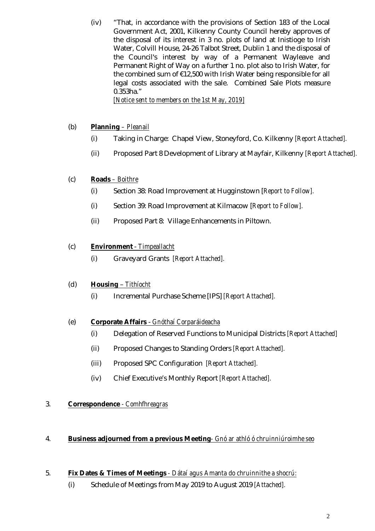(iv) "That, in accordance with the provisions of Section 183 of the Local Government Act, 2001, Kilkenny County Council hereby approves of the disposal of its interest in 3 no. plots of land at Inistioge to Irish Water, Colvill House, 24-26 Talbot Street, Dublin 1 and the disposal of the Council's interest by way of a Permanent Wayleave and Permanent Right of Way on a further 1 no. plot also to Irish Water, for the combined sum of €12,500 with Irish Water being responsible for all legal costs associated with the sale. Combined Sale Plots measure 0.353ha." *[Notice sent to members on the 1st May, 2019]*

## (b) **Planning** *– Pleanail*

- (i) Taking in Charge: Chapel View, Stoneyford, Co. Kilkenny *[Report Attached].*
- (ii) Proposed Part 8 Development of Library at Mayfair, Kilkenny *[Report Attached].*

## (c) **Roads** *– Boithre*

- (i) Section 38: Road Improvement at Hugginstown [*Report to Follow].*
- (i) Section 39: Road Improvement at Kilmacow [*Report to Follow].*
- (ii) Proposed Part 8: Village Enhancements in Piltown.

## (c) **Environment** - *Timpeallacht*

(i) Graveyard Grants *[Report Attached].*

## (d) **Housing** – *Tithíocht*

(i) Incremental Purchase Scheme [IPS] *[Report Attached].*

## (e) **Corporate Affairs** - *Gnóthaí Corparáideacha*

- (i) Delegation of Reserved Functions to Municipal Districts *[Report Attached]*
- (ii) Proposed Changes to Standing Orders *[Report Attached].*
- (iii) Proposed SPC Configuration *[Report Attached].*
- (iv) Chief Executive's Monthly Report *[Report Attached].*

## 3. **Correspondence** *- Comhfhreagras*

## 4. **Business adjourned from a previous Meeting***- Gnó ar athló ó chruinniúroimhe seo*

## 5. **Fix Dates & Times of Meetings** *- Dátaí agus Amanta do chruinnithe a shocrú:*

(i) Schedule of Meetings from May 2019 to August 2019 *[Attached].*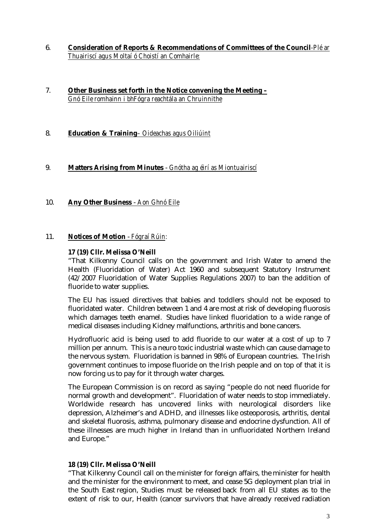- 6. **Consideration of Reports & Recommendations of Committees of the Council***-Plé ar Thuairiscí agus Moltaí ó Choistí an Comhairle:*
- 7. **Other Business set forth in the Notice convening the Meeting –** *Gnó Eile romhainn i bhFógra reachtála an Chruinnithe*
- 8. **Education & Training***– Oideachas agus Oiliúint*

#### 9. **Matters Arising from Minutes** - *Gnótha ag éirí as Miontuairiscí*

10. **Any Other Business** - *Aon Ghnó Eile*

#### 11. **Notices of Motion** - *Fógraí Rúin:*

#### **17 (19) Cllr. Melissa O'Neill**

"That Kilkenny Council calls on the government and Irish Water to amend the Health (Fluoridation of Water) Act 1960 and subsequent Statutory Instrument (42/2007 Fluoridation of Water Supplies Regulations 2007) to ban the addition of fluoride to water supplies.

The EU has issued directives that babies and toddlers should not be exposed to fluoridated water. Children between 1 and 4 are most at risk of developing fluorosis which damages teeth enamel. Studies have linked fluoridation to a wide range of medical diseases including Kidney malfunctions, arthritis and bone cancers.

Hydrofluoric acid is being used to add fluoride to our water at a cost of up to 7 million per annum. This is a neuro toxic industrial waste which can cause damage to the nervous system. Fluoridation is banned in 98% of European countries. The Irish government continues to impose fluoride on the Irish people and on top of that it is now forcing us to pay for it through water charges.

The European Commission is on record as saying "people do not need fluoride for normal growth and development". Fluoridation of water needs to stop immediately. Worldwide research has uncovered links with neurological disorders like depression, Alzheimer's and ADHD, and illnesses like osteoporosis, arthritis, dental and skeletal fluorosis, asthma, pulmonary disease and endocrine dysfunction. All of these illnesses are much higher in Ireland than in unfluoridated Northern Ireland and Europe."

#### **18 (19) Cllr. Melissa O'Neill**

"That Kilkenny Council call on the minister for foreign affairs, the minister for health and the minister for the environment to meet, and cease 5G deployment plan trial in the South East region, Studies must be released back from all EU states as to the extent of risk to our, Health (cancer survivors that have already received radiation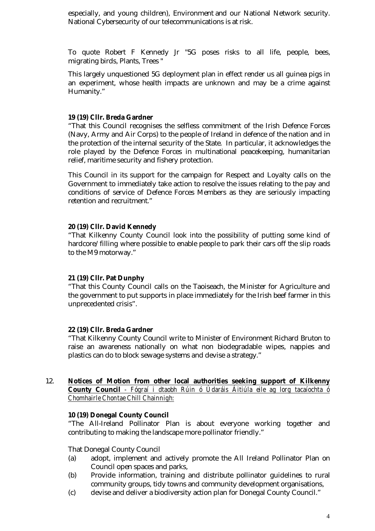especially, and young children), Environment and our National Network security. National Cybersecurity of our telecommunications is at risk.

To quote Robert F Kennedy Jr "5G poses risks to all life, people, bees, migrating birds, Plants, Trees "

This largely unquestioned 5G deployment plan in effect render us all guinea pigs in an experiment, whose health impacts are unknown and may be a crime against Humanity."

#### **19 (19) Cllr. Breda Gardner**

"That this Council recognises the selfless commitment of the Irish Defence Forces (Navy, Army and Air Corps) to the people of Ireland in defence of the nation and in the protection of the internal security of the State. In particular, it acknowledges the role played by the Defence Forces in multinational peacekeeping, humanitarian relief, maritime security and fishery protection.

This Council in its support for the campaign for Respect and Loyalty calls on the Government to immediately take action to resolve the issues relating to the pay and conditions of service of Defence Forces Members as they are seriously impacting retention and recruitment."

#### **20 (19) Cllr. David Kennedy**

"That Kilkenny County Council look into the possibility of putting some kind of hardcore/filling where possible to enable people to park their cars off the slip roads to the M9 motorway."

#### **21 (19) Cllr. Pat Dunphy**

"That this County Council calls on the Taoiseach, the Minister for Agriculture and the government to put supports in place immediately for the Irish beef farmer in this unprecedented crisis".

#### **22 (19) Cllr. Breda Gardner**

"That Kilkenny County Council write to Minister of Environment Richard Bruton to raise an awareness nationally on what non biodegradable wipes, nappies and plastics can do to block sewage systems and devise a strategy."

#### 12. **Notices of Motion from other local authorities seeking support of Kilkenny County Council** *- Fógraí i dtaobh Rúin ó Údaráis Áitiúla eile ag lorg tacaíochta ó Chomhairle Chontae Chill Chainnigh:*

#### **10 (19) Donegal County Council**

"The All-Ireland Pollinator Plan is about everyone working together and contributing to making the landscape more pollinator friendly."

That Donegal County Council

- (a) adopt, implement and actively promote the All Ireland Pollinator Plan on Council open spaces and parks,
- (b) Provide information, training and distribute pollinator guidelines to rural community groups, tidy towns and community development organisations,
- (c) devise and deliver a biodiversity action plan for Donegal County Council."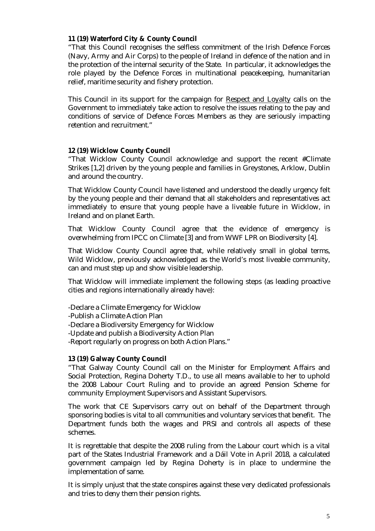## **11 (19) Waterford City & County Council**

"That this Council recognises the selfless commitment of the Irish Defence Forces (Navy, Army and Air Corps) to the people of Ireland in defence of the nation and in the protection of the internal security of the State. In particular, it acknowledges the role played by the Defence Forces in multinational peacekeeping, humanitarian relief, maritime security and fishery protection.

This Council in its support for the campaign for Respect and Loyalty calls on the Government to immediately take action to resolve the issues relating to the pay and conditions of service of Defence Forces Members as they are seriously impacting retention and recruitment."

## **12 (19) Wicklow County Council**

"That Wicklow County Council acknowledge and support the recent #Climate Strikes [1,2] driven by the young people and families in Greystones, Arklow, Dublin and around the country.

That Wicklow County Council have listened and understood the deadly urgency felt by the young people and their demand that all stakeholders and representatives act immediately to ensure that young people have a liveable future in Wicklow, in Ireland and on planet Earth.

That Wicklow County Council agree that the evidence of emergency is overwhelming from IPCC on Climate [3] and from WWF LPR on Biodiversity [4].

That Wicklow County Council agree that, while relatively small in global terms, Wild Wicklow, previously acknowledged as the World's most liveable community, can and must step up and show visible leadership.

That Wicklow will immediate implement the following steps (as leading proactive cities and regions internationally already have):

-Declare a Climate Emergency for Wicklow -Publish a Climate Action Plan -Declare a Biodiversity Emergency for Wicklow -Update and publish a Biodiversity Action Plan -Report regularly on progress on both Action Plans."

## **13 (19) Galway County Council**

"That Galway County Council call on the Minister for Employment Affairs and Social Protection, Regina Doherty T.D., to use all means available to her to uphold the 2008 Labour Court Ruling and to provide an agreed Pension Scheme for community Employment Supervisors and Assistant Supervisors.

The work that CE Supervisors carry out on behalf of the Department through sponsoring bodies is vital to all communities and voluntary services that benefit. The Department funds both the wages and PRSI and controls all aspects of these schemes.

It is regrettable that despite the 2008 ruling from the Labour court which is a vital part of the States Industrial Framework and a Dáil Vote in April 2018, a calculated government campaign led by Regina Doherty is in place to undermine the implementation of same.

It is simply unjust that the state conspires against these very dedicated professionals and tries to deny them their pension rights.